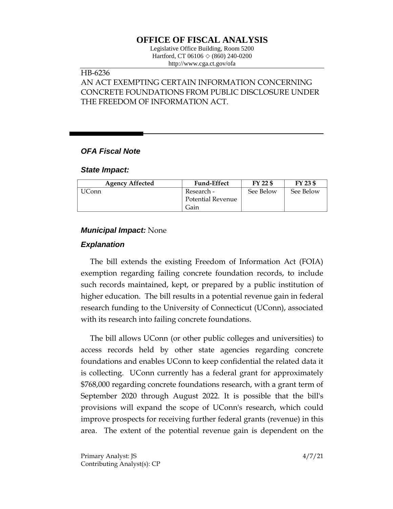## **OFFICE OF FISCAL ANALYSIS**

Legislative Office Building, Room 5200 Hartford, CT 06106 ◇ (860) 240-0200 http://www.cga.ct.gov/ofa

# HB-6236

## AN ACT EXEMPTING CERTAIN INFORMATION CONCERNING CONCRETE FOUNDATIONS FROM PUBLIC DISCLOSURE UNDER THE FREEDOM OF INFORMATION ACT.

#### *OFA Fiscal Note*

#### *State Impact:*

| <b>Agency Affected</b> | <b>Fund-Effect</b> | FY 22 \$  | FY 23 \$  |
|------------------------|--------------------|-----------|-----------|
| JConn                  | Research -         | See Below | See Below |
|                        | Potential Revenue  |           |           |
|                        | Gain               |           |           |

#### *Municipal Impact:* None

#### *Explanation*

The bill extends the existing Freedom of Information Act (FOIA) exemption regarding failing concrete foundation records, to include such records maintained, kept, or prepared by a public institution of higher education. The bill results in a potential revenue gain in federal research funding to the University of Connecticut (UConn), associated with its research into failing concrete foundations.

The bill allows UConn (or other public colleges and universities) to access records held by other state agencies regarding concrete foundations and enables UConn to keep confidential the related data it is collecting. UConn currently has a federal grant for approximately \$768,000 regarding concrete foundations research, with a grant term of September 2020 through August 2022. It is possible that the bill's provisions will expand the scope of UConn's research, which could improve prospects for receiving further federal grants (revenue) in this area. The extent of the potential revenue gain is dependent on the